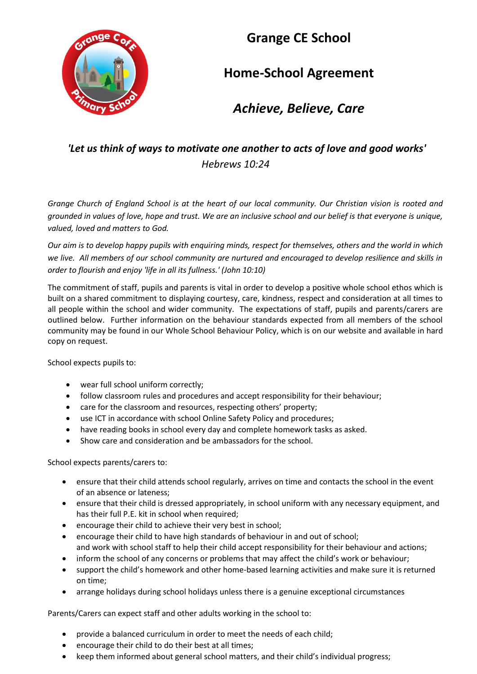

# **Grange CE School**

# **Home-School Agreement**

## *Achieve, Believe, Care*

### *'Let us think of ways to motivate one another to acts of love and good works' Hebrews 10:24*

*Grange Church of England School is at the heart of our local community. Our Christian vision is rooted and grounded in values of love, hope and trust. We are an inclusive school and our belief is that everyone is unique, valued, loved and matters to God.*

*Our aim is to develop happy pupils with enquiring minds, respect for themselves, others and the world in which we live. All members of our school community are nurtured and encouraged to develop resilience and skills in order to flourish and enjoy 'life in all its fullness.' (John 10:10)*

The commitment of staff, pupils and parents is vital in order to develop a positive whole school ethos which is built on a shared commitment to displaying courtesy, care, kindness, respect and consideration at all times to all people within the school and wider community. The expectations of staff, pupils and parents/carers are outlined below. Further information on the behaviour standards expected from all members of the school community may be found in our Whole School Behaviour Policy, which is on our website and available in hard copy on request.

School expects pupils to:

- wear full school uniform correctly;
- follow classroom rules and procedures and accept responsibility for their behaviour;
- care for the classroom and resources, respecting others' property;
- use ICT in accordance with school Online Safety Policy and procedures;
- have reading books in school every day and complete homework tasks as asked.
- Show care and consideration and be ambassadors for the school.

School expects parents/carers to:

- ensure that their child attends school regularly, arrives on time and contacts the school in the event of an absence or lateness;
- ensure that their child is dressed appropriately, in school uniform with any necessary equipment, and has their full P.E. kit in school when required;
- encourage their child to achieve their very best in school;
- encourage their child to have high standards of behaviour in and out of school; and work with school staff to help their child accept responsibility for their behaviour and actions;
- inform the school of any concerns or problems that may affect the child's work or behaviour;
- support the child's homework and other home-based learning activities and make sure it is returned on time;
- arrange holidays during school holidays unless there is a genuine exceptional circumstances

Parents/Carers can expect staff and other adults working in the school to:

- provide a balanced curriculum in order to meet the needs of each child;
- encourage their child to do their best at all times;
- keep them informed about general school matters, and their child's individual progress;